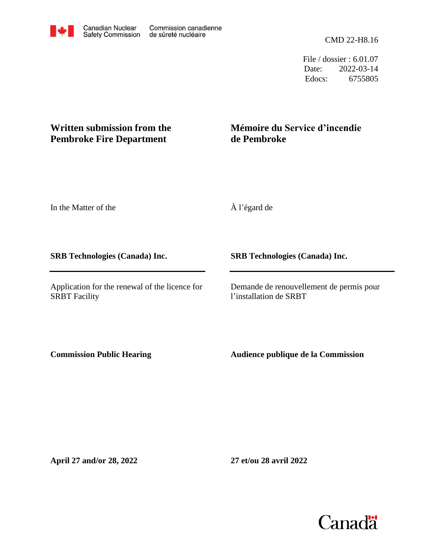CMD 22-H8.16

File / dossier : 6.01.07 Date: 2022-03-14 Edocs: 6755805

## **Written submission from the Pembroke Fire Department**

## **Mémoire du Service d'incendie de Pembroke**

In the Matter of the

**SRB Technologies (Canada) Inc.**

Application for the renewal of the licence for SRBT Facility

À l'égard de

**SRB Technologies (Canada) Inc.**

Demande de renouvellement de permis pour l'installation de SRBT

**Commission Public Hearing**

**Audience publique de la Commission**

**April 27 and/or 28, 2022**

**27 et/ou 28 avril 2022**

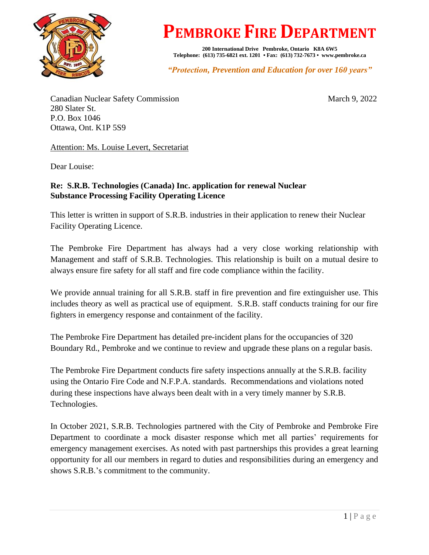

## **PEMBROKE FIRE DEPARTMENT**

**200 International Drive Pembroke, Ontario K8A 6W5 Telephone: (613) 735-6821 ext. 1201 • Fax: (613) 732-7673 • www.pembroke.ca** 

*"Protection, Prevention and Education for over 160 years"*

Canadian Nuclear Safety Commission March 9, 2022 280 Slater St. P.O. Box 1046 Ottawa, Ont. K1P 5S9

Attention: Ms. Louise Levert, Secretariat

Dear Louise:

## **Re: S.R.B. Technologies (Canada) Inc. application for renewal Nuclear Substance Processing Facility Operating Licence**

This letter is written in support of S.R.B. industries in their application to renew their Nuclear Facility Operating Licence.

The Pembroke Fire Department has always had a very close working relationship with Management and staff of S.R.B. Technologies. This relationship is built on a mutual desire to always ensure fire safety for all staff and fire code compliance within the facility.

We provide annual training for all S.R.B. staff in fire prevention and fire extinguisher use. This includes theory as well as practical use of equipment. S.R.B. staff conducts training for our fire fighters in emergency response and containment of the facility.

The Pembroke Fire Department has detailed pre-incident plans for the occupancies of 320 Boundary Rd., Pembroke and we continue to review and upgrade these plans on a regular basis.

The Pembroke Fire Department conducts fire safety inspections annually at the S.R.B. facility using the Ontario Fire Code and N.F.P.A. standards. Recommendations and violations noted during these inspections have always been dealt with in a very timely manner by S.R.B. Technologies.

In October 2021, S.R.B. Technologies partnered with the City of Pembroke and Pembroke Fire Department to coordinate a mock disaster response which met all parties' requirements for emergency management exercises. As noted with past partnerships this provides a great learning opportunity for all our members in regard to duties and responsibilities during an emergency and shows S.R.B.'s commitment to the community.